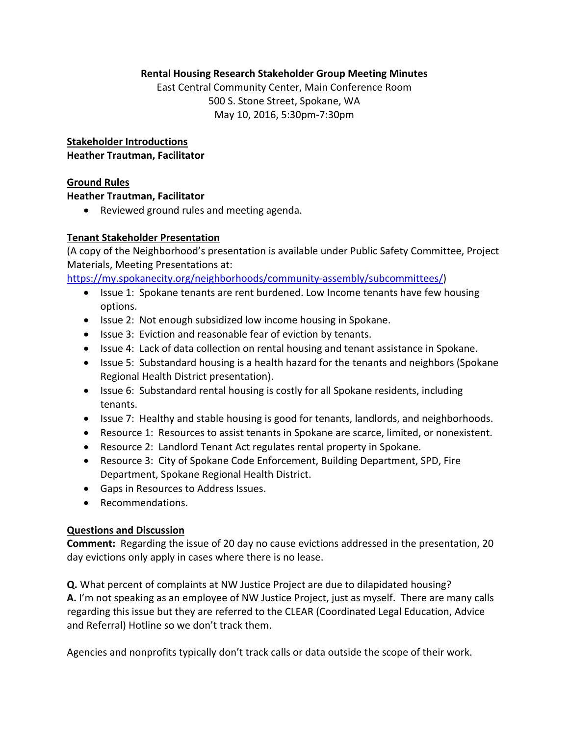#### **Rental Housing Research Stakeholder Group Meeting Minutes**

East Central Community Center, Main Conference Room 500 S. Stone Street, Spokane, WA May 10, 2016, 5:30pm‐7:30pm

**Stakeholder Introductions Heather Trautman, Facilitator** 

#### **Ground Rules**

#### **Heather Trautman, Facilitator**

Reviewed ground rules and meeting agenda.

#### **Tenant Stakeholder Presentation**

(A copy of the Neighborhood's presentation is available under Public Safety Committee, Project Materials, Meeting Presentations at:

https://my.spokanecity.org/neighborhoods/community‐assembly/subcommittees/)

- Issue 1: Spokane tenants are rent burdened. Low Income tenants have few housing options.
- Issue 2: Not enough subsidized low income housing in Spokane.
- Issue 3: Eviction and reasonable fear of eviction by tenants.
- Issue 4: Lack of data collection on rental housing and tenant assistance in Spokane.
- Issue 5: Substandard housing is a health hazard for the tenants and neighbors (Spokane Regional Health District presentation).
- Issue 6: Substandard rental housing is costly for all Spokane residents, including tenants.
- Issue 7: Healthy and stable housing is good for tenants, landlords, and neighborhoods.
- Resource 1: Resources to assist tenants in Spokane are scarce, limited, or nonexistent.
- Resource 2: Landlord Tenant Act regulates rental property in Spokane.
- Resource 3: City of Spokane Code Enforcement, Building Department, SPD, Fire Department, Spokane Regional Health District.
- Gaps in Resources to Address Issues.
- Recommendations.

## **Questions and Discussion**

**Comment:** Regarding the issue of 20 day no cause evictions addressed in the presentation, 20 day evictions only apply in cases where there is no lease.

**Q.** What percent of complaints at NW Justice Project are due to dilapidated housing? **A.** I'm not speaking as an employee of NW Justice Project, just as myself. There are many calls regarding this issue but they are referred to the CLEAR (Coordinated Legal Education, Advice and Referral) Hotline so we don't track them.

Agencies and nonprofits typically don't track calls or data outside the scope of their work.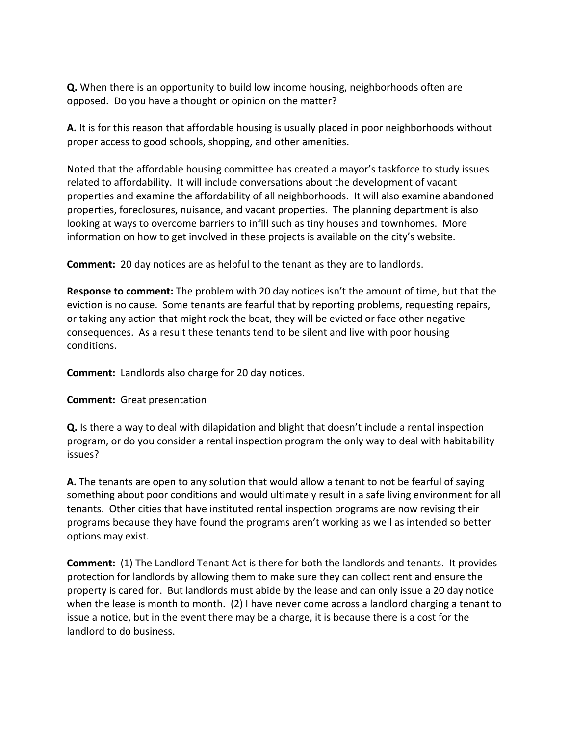**Q.** When there is an opportunity to build low income housing, neighborhoods often are opposed. Do you have a thought or opinion on the matter?

**A.** It is for this reason that affordable housing is usually placed in poor neighborhoods without proper access to good schools, shopping, and other amenities.

Noted that the affordable housing committee has created a mayor's taskforce to study issues related to affordability. It will include conversations about the development of vacant properties and examine the affordability of all neighborhoods. It will also examine abandoned properties, foreclosures, nuisance, and vacant properties. The planning department is also looking at ways to overcome barriers to infill such as tiny houses and townhomes. More information on how to get involved in these projects is available on the city's website.

**Comment:** 20 day notices are as helpful to the tenant as they are to landlords.

**Response to comment:** The problem with 20 day notices isn't the amount of time, but that the eviction is no cause. Some tenants are fearful that by reporting problems, requesting repairs, or taking any action that might rock the boat, they will be evicted or face other negative consequences. As a result these tenants tend to be silent and live with poor housing conditions.

**Comment:** Landlords also charge for 20 day notices.

## **Comment:** Great presentation

**Q.** Is there a way to deal with dilapidation and blight that doesn't include a rental inspection program, or do you consider a rental inspection program the only way to deal with habitability issues?

**A.** The tenants are open to any solution that would allow a tenant to not be fearful of saying something about poor conditions and would ultimately result in a safe living environment for all tenants. Other cities that have instituted rental inspection programs are now revising their programs because they have found the programs aren't working as well as intended so better options may exist.

**Comment:** (1) The Landlord Tenant Act is there for both the landlords and tenants. It provides protection for landlords by allowing them to make sure they can collect rent and ensure the property is cared for. But landlords must abide by the lease and can only issue a 20 day notice when the lease is month to month. (2) I have never come across a landlord charging a tenant to issue a notice, but in the event there may be a charge, it is because there is a cost for the landlord to do business.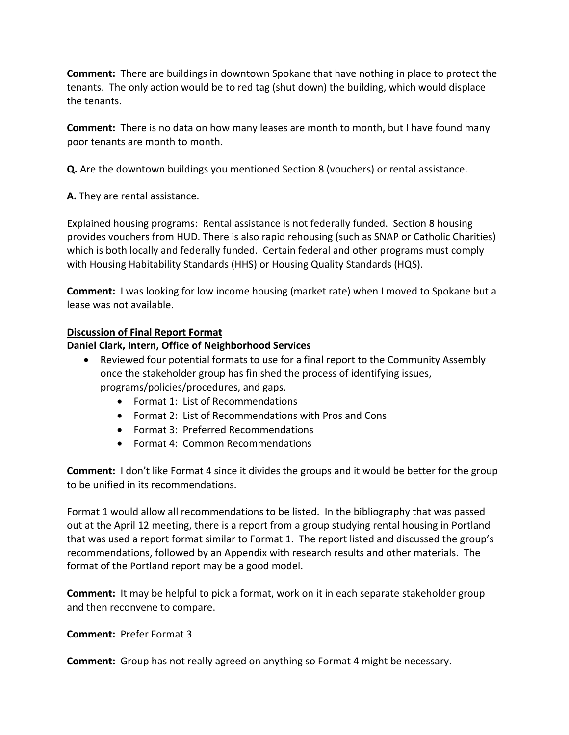**Comment:** There are buildings in downtown Spokane that have nothing in place to protect the tenants. The only action would be to red tag (shut down) the building, which would displace the tenants.

**Comment:** There is no data on how many leases are month to month, but I have found many poor tenants are month to month.

**Q.** Are the downtown buildings you mentioned Section 8 (vouchers) or rental assistance.

**A.** They are rental assistance.

Explained housing programs: Rental assistance is not federally funded. Section 8 housing provides vouchers from HUD. There is also rapid rehousing (such as SNAP or Catholic Charities) which is both locally and federally funded. Certain federal and other programs must comply with Housing Habitability Standards (HHS) or Housing Quality Standards (HQS).

**Comment:** I was looking for low income housing (market rate) when I moved to Spokane but a lease was not available.

## **Discussion of Final Report Format**

## **Daniel Clark, Intern, Office of Neighborhood Services**

- Reviewed four potential formats to use for a final report to the Community Assembly once the stakeholder group has finished the process of identifying issues, programs/policies/procedures, and gaps.
	- Format 1: List of Recommendations
	- Format 2: List of Recommendations with Pros and Cons
	- Format 3: Preferred Recommendations
	- Format 4: Common Recommendations

**Comment:** I don't like Format 4 since it divides the groups and it would be better for the group to be unified in its recommendations.

Format 1 would allow all recommendations to be listed. In the bibliography that was passed out at the April 12 meeting, there is a report from a group studying rental housing in Portland that was used a report format similar to Format 1. The report listed and discussed the group's recommendations, followed by an Appendix with research results and other materials. The format of the Portland report may be a good model.

**Comment:** It may be helpful to pick a format, work on it in each separate stakeholder group and then reconvene to compare.

## **Comment: Prefer Format 3**

**Comment:** Group has not really agreed on anything so Format 4 might be necessary.